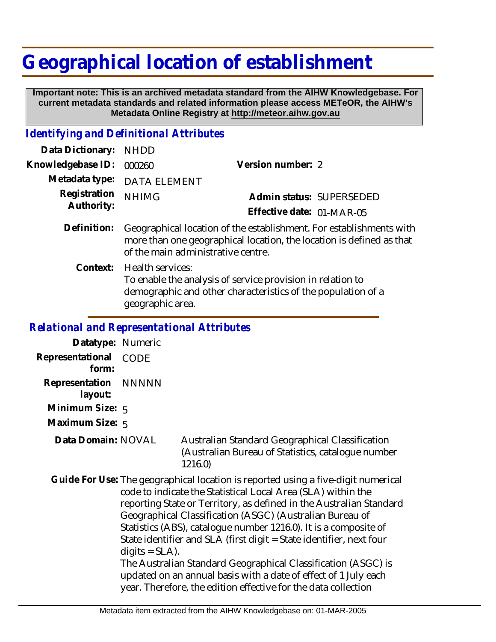## **Geographical location of establishment**

 **Important note: This is an archived metadata standard from the AIHW Knowledgebase. For current metadata standards and related information please access METeOR, the AIHW's Metadata Online Registry at http://meteor.aihw.gov.au**

## *Identifying and Definitional Attributes*

| Data Dictionary:           | <b>NHDD</b>                                                                                                                                                                       |                           |  |
|----------------------------|-----------------------------------------------------------------------------------------------------------------------------------------------------------------------------------|---------------------------|--|
| Knowledgebase ID:          | 000260                                                                                                                                                                            | Version number: 2         |  |
| Metadata type:             | <b>DATA ELEMENT</b>                                                                                                                                                               |                           |  |
| Registration<br>Authority: | <b>NHIMG</b>                                                                                                                                                                      | Admin status: SUPERSEDED  |  |
|                            |                                                                                                                                                                                   | Effective date: 01-MAR-05 |  |
| Definition:                | Geographical location of the establishment. For establishments with<br>more than one geographical location, the location is defined as that<br>of the main administrative centre. |                           |  |
| Context:                   | Health services:<br>To enable the analysis of service provision in relation to<br>demographic and other characteristics of the population of a<br>geographic area.                |                           |  |
|                            | Relational and Representational Attributes                                                                                                                                        |                           |  |

*Relational and Representational Attributes*

**Datatype:** Numeric **Representational** CODE  **form: Representation** NNNNN  **layout:**

**Minimum Size:** 5

**Maximum Size:** 5

**Data Domain:**

Australian Standard Geographical Classification (Australian Bureau of Statistics, catalogue number 1216.0)

Guide For Use: The geographical location is reported using a five-digit numerical code to indicate the Statistical Local Area (SLA) within the reporting State or Territory, as defined in the Australian Standard Geographical Classification (ASGC) (Australian Bureau of Statistics (ABS), catalogue number 1216.0). It is a composite of State identifier and SLA (first digit = State identifier, next four  $digits = SLA$ ). The Australian Standard Geographical Classification (ASGC) is updated on an annual basis with a date of effect of 1 July each

year. Therefore, the edition effective for the data collection